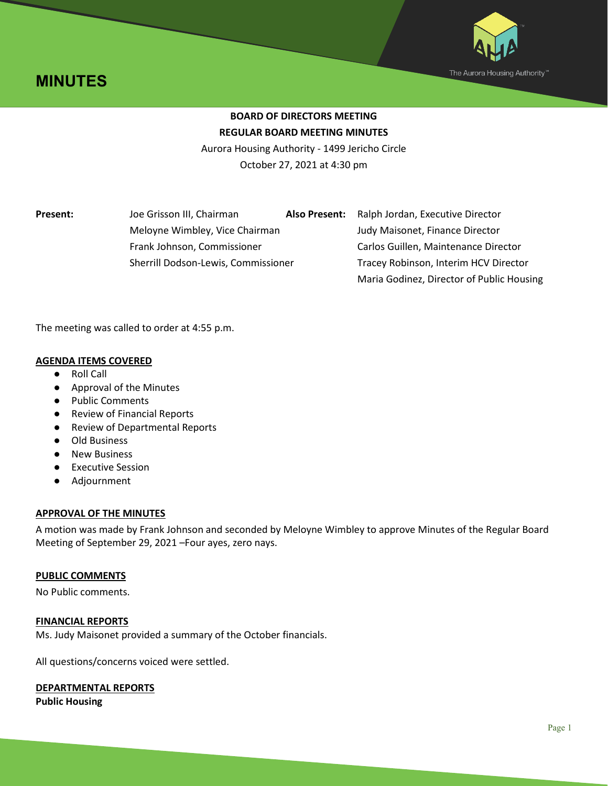



# **BOARD OF DIRECTORS MEETING REGULAR BOARD MEETING MINUTES**

Aurora Housing Authority - 1499 Jericho Circle October 27, 2021 at 4:30 pm

**Present:** Joe Grisson III, Chairman **Also Present:** Ralph Jordan, Executive Director

Meloyne Wimbley, Vice Chairman Judy Maisonet, Finance Director Frank Johnson, Commissioner Carlos Guillen, Maintenance Director Sherrill Dodson-Lewis, Commissioner Tracey Robinson, Interim HCV Director Maria Godinez, Director of Public Housing

The meeting was called to order at 4:55 p.m.

# **AGENDA ITEMS COVERED**

- Roll Call
- Approval of the Minutes
- Public Comments
- **Review of Financial Reports**
- Review of Departmental Reports
- Old Business
- New Business
- Executive Session
- Adjournment

# **APPROVAL OF THE MINUTES**

A motion was made by Frank Johnson and seconded by Meloyne Wimbley to approve Minutes of the Regular Board Meeting of September 29, 2021 –Four ayes, zero nays.

# **PUBLIC COMMENTS**

No Public comments.

# **FINANCIAL REPORTS**

Ms. Judy Maisonet provided a summary of the October financials.

All questions/concerns voiced were settled.

# **DEPARTMENTAL REPORTS**

**Public Housing**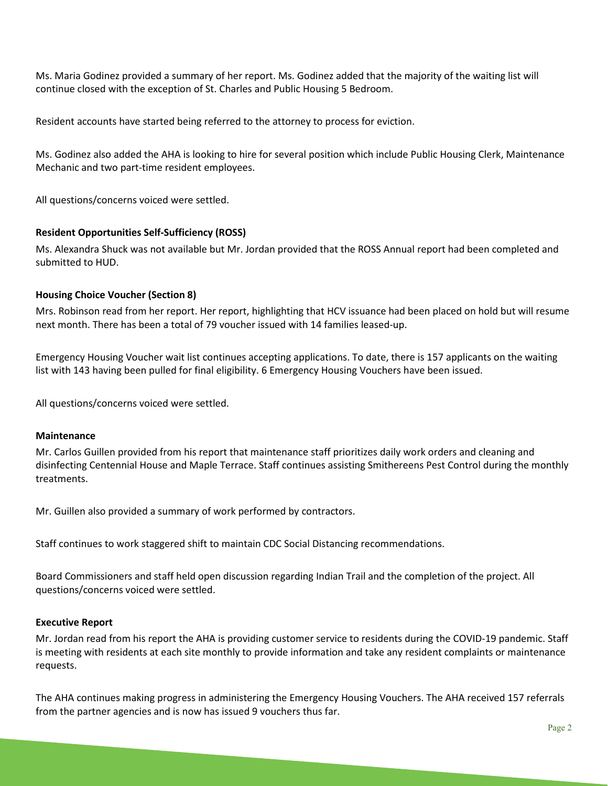Ms. Maria Godinez provided a summary of her report. Ms. Godinez added that the majority of the waiting list will continue closed with the exception of St. Charles and Public Housing 5 Bedroom.

Resident accounts have started being referred to the attorney to process for eviction.

Ms. Godinez also added the AHA is looking to hire for several position which include Public Housing Clerk, Maintenance Mechanic and two part-time resident employees.

All questions/concerns voiced were settled.

## **Resident Opportunities Self-Sufficiency (ROSS)**

Ms. Alexandra Shuck was not available but Mr. Jordan provided that the ROSS Annual report had been completed and submitted to HUD.

#### **Housing Choice Voucher (Section 8)**

Mrs. Robinson read from her report. Her report, highlighting that HCV issuance had been placed on hold but will resume next month. There has been a total of 79 voucher issued with 14 families leased-up.

Emergency Housing Voucher wait list continues accepting applications. To date, there is 157 applicants on the waiting list with 143 having been pulled for final eligibility. 6 Emergency Housing Vouchers have been issued.

All questions/concerns voiced were settled.

#### **Maintenance**

Mr. Carlos Guillen provided from his report that maintenance staff prioritizes daily work orders and cleaning and disinfecting Centennial House and Maple Terrace. Staff continues assisting Smithereens Pest Control during the monthly treatments.

Mr. Guillen also provided a summary of work performed by contractors.

Staff continues to work staggered shift to maintain CDC Social Distancing recommendations.

Board Commissioners and staff held open discussion regarding Indian Trail and the completion of the project. All questions/concerns voiced were settled.

#### **Executive Report**

Mr. Jordan read from his report the AHA is providing customer service to residents during the COVID-19 pandemic. Staff is meeting with residents at each site monthly to provide information and take any resident complaints or maintenance requests.

The AHA continues making progress in administering the Emergency Housing Vouchers. The AHA received 157 referrals from the partner agencies and is now has issued 9 vouchers thus far.